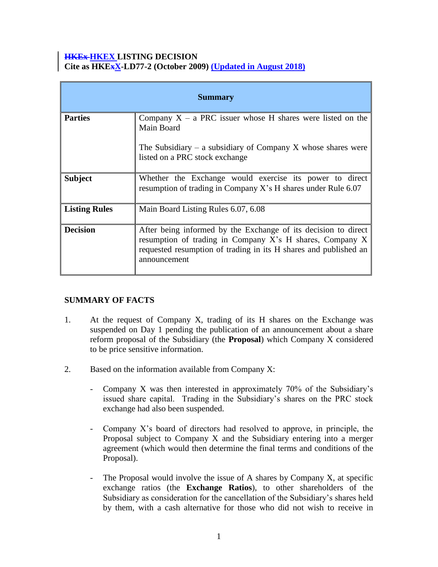### **HKEx HKEX LISTING DECISION Cite as HKExX-LD77-2 (October 2009) (Updated in August 2018)**

| <b>Summary</b>       |                                                                                                                                                                                                                |
|----------------------|----------------------------------------------------------------------------------------------------------------------------------------------------------------------------------------------------------------|
| <b>Parties</b>       | Company $X - a$ PRC issuer whose H shares were listed on the<br>Main Board                                                                                                                                     |
|                      | The Subsidiary – a subsidiary of Company X whose shares were<br>listed on a PRC stock exchange                                                                                                                 |
| <b>Subject</b>       | Whether the Exchange would exercise its power to direct<br>resumption of trading in Company X's H shares under Rule 6.07                                                                                       |
| <b>Listing Rules</b> | Main Board Listing Rules 6.07, 6.08                                                                                                                                                                            |
| <b>Decision</b>      | After being informed by the Exchange of its decision to direct<br>resumption of trading in Company X's H shares, Company X<br>requested resumption of trading in its H shares and published an<br>announcement |

# **SUMMARY OF FACTS**

- 1. At the request of Company X, trading of its H shares on the Exchange was suspended on Day 1 pending the publication of an announcement about a share reform proposal of the Subsidiary (the **Proposal**) which Company X considered to be price sensitive information.
- 2. Based on the information available from Company X:
	- Company X was then interested in approximately 70% of the Subsidiary's issued share capital. Trading in the Subsidiary's shares on the PRC stock exchange had also been suspended.
	- Company X's board of directors had resolved to approve, in principle, the Proposal subject to Company X and the Subsidiary entering into a merger agreement (which would then determine the final terms and conditions of the Proposal).
	- The Proposal would involve the issue of A shares by Company X, at specific exchange ratios (the **Exchange Ratios**), to other shareholders of the Subsidiary as consideration for the cancellation of the Subsidiary's shares held by them, with a cash alternative for those who did not wish to receive in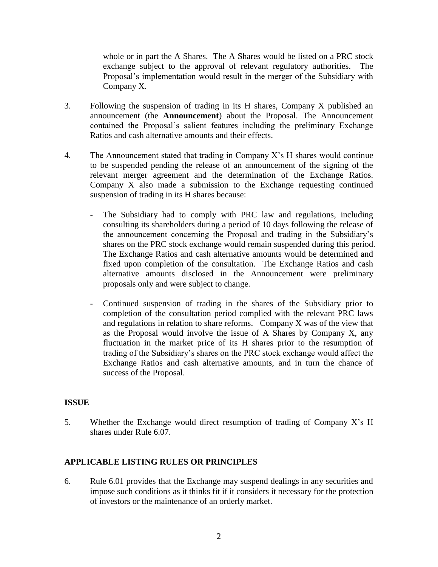whole or in part the A Shares. The A Shares would be listed on a PRC stock exchange subject to the approval of relevant regulatory authorities. The Proposal's implementation would result in the merger of the Subsidiary with Company X.

- 3. Following the suspension of trading in its H shares, Company X published an announcement (the **Announcement**) about the Proposal. The Announcement contained the Proposal's salient features including the preliminary Exchange Ratios and cash alternative amounts and their effects.
- 4. The Announcement stated that trading in Company X's H shares would continue to be suspended pending the release of an announcement of the signing of the relevant merger agreement and the determination of the Exchange Ratios. Company X also made a submission to the Exchange requesting continued suspension of trading in its H shares because:
	- The Subsidiary had to comply with PRC law and regulations, including consulting its shareholders during a period of 10 days following the release of the announcement concerning the Proposal and trading in the Subsidiary's shares on the PRC stock exchange would remain suspended during this period. The Exchange Ratios and cash alternative amounts would be determined and fixed upon completion of the consultation. The Exchange Ratios and cash alternative amounts disclosed in the Announcement were preliminary proposals only and were subject to change.
	- Continued suspension of trading in the shares of the Subsidiary prior to completion of the consultation period complied with the relevant PRC laws and regulations in relation to share reforms. Company X was of the view that as the Proposal would involve the issue of A Shares by Company X, any fluctuation in the market price of its H shares prior to the resumption of trading of the Subsidiary's shares on the PRC stock exchange would affect the Exchange Ratios and cash alternative amounts, and in turn the chance of success of the Proposal.

## **ISSUE**

5. Whether the Exchange would direct resumption of trading of Company X's H shares under Rule 6.07.

# **APPLICABLE LISTING RULES OR PRINCIPLES**

6. Rule 6.01 provides that the Exchange may suspend dealings in any securities and impose such conditions as it thinks fit if it considers it necessary for the protection of investors or the maintenance of an orderly market.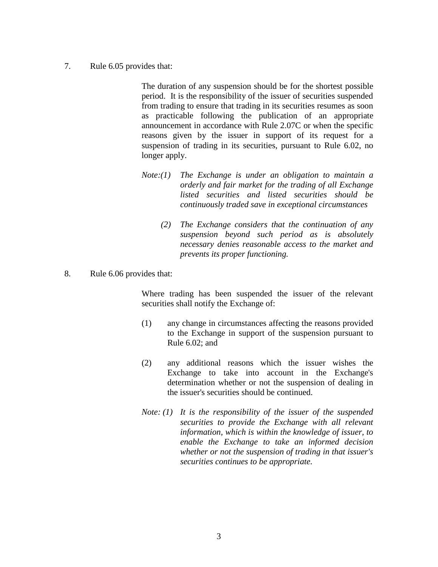7. Rule 6.05 provides that:

 The duration of any suspension should be for the shortest possible period. It is the responsibility of the issuer of securities suspended from trading to ensure that trading in its securities resumes as soon as practicable following the publication of an appropriate announcement in accordance with Rule 2.07C or when the specific reasons given by the issuer in support of its request for a suspension of trading in its securities, pursuant to Rule 6.02, no longer apply.

- *Note:(1) The Exchange is under an obligation to maintain a orderly and fair market for the trading of all Exchange listed securities and listed securities should be continuously traded save in exceptional circumstances*
	- *(2) The Exchange considers that the continuation of any suspension beyond such period as is absolutely necessary denies reasonable access to the market and prevents its proper functioning.*
- 8. Rule 6.06 provides that:

Where trading has been suspended the issuer of the relevant securities shall notify the Exchange of:

- (1) any change in circumstances affecting the reasons provided to the Exchange in support of the suspension pursuant to Rule 6.02; and
- (2) any additional reasons which the issuer wishes the Exchange to take into account in the Exchange's determination whether or not the suspension of dealing in the issuer's securities should be continued.
- *Note: (1) It is the responsibility of the issuer of the suspended securities to provide the Exchange with all relevant information, which is within the knowledge of issuer, to enable the Exchange to take an informed decision whether or not the suspension of trading in that issuer's securities continues to be appropriate.*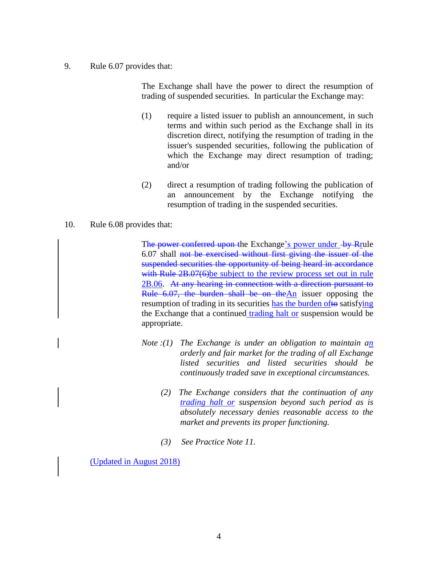#### 9. Rule 6.07 provides that:

The Exchange shall have the power to direct the resumption of trading of suspended securities. In particular the Exchange may:

- (1) require a listed issuer to publish an announcement, in such terms and within such period as the Exchange shall in its discretion direct, notifying the resumption of trading in the issuer's suspended securities, following the publication of which the Exchange may direct resumption of trading; and/or
- (2) direct a resumption of trading following the publication of an announcement by the Exchange notifying the resumption of trading in the suspended securities.

### 10. Rule 6.08 provides that:

The power conferred upon the Exchange's power under by Rrule 6.07 shall not be exercised without first giving the issuer of the suspended securities the opportunity of being heard in accordance with Rule 2B.07(6)be subject to the review process set out in rule 2B.06. At any hearing in connection with a direction pursuant to Rule 6.07, the burden shall be on the An issuer opposing the resumption of trading in its securities has the burden ofto satisfying the Exchange that a continued trading halt or suspension would be appropriate.

- *Note :(1) The Exchange is under an obligation to maintain an orderly and fair market for the trading of all Exchange listed securities and listed securities should be continuously traded save in exceptional circumstances.*
	- *(2) The Exchange considers that the continuation of any trading halt or suspension beyond such period as is absolutely necessary denies reasonable access to the market and prevents its proper functioning.*
	- *(3) See Practice Note 11.*

(Updated in August 2018)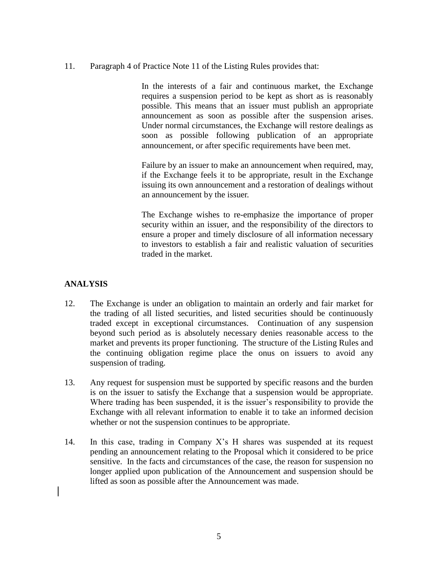11. Paragraph 4 of Practice Note 11 of the Listing Rules provides that:

In the interests of a fair and continuous market, the Exchange requires a suspension period to be kept as short as is reasonably possible. This means that an issuer must publish an appropriate announcement as soon as possible after the suspension arises. Under normal circumstances, the Exchange will restore dealings as soon as possible following publication of an appropriate announcement, or after specific requirements have been met.

Failure by an issuer to make an announcement when required, may, if the Exchange feels it to be appropriate, result in the Exchange issuing its own announcement and a restoration of dealings without an announcement by the issuer.

The Exchange wishes to re-emphasize the importance of proper security within an issuer, and the responsibility of the directors to ensure a proper and timely disclosure of all information necessary to investors to establish a fair and realistic valuation of securities traded in the market.

# **ANALYSIS**

- 12. The Exchange is under an obligation to maintain an orderly and fair market for the trading of all listed securities, and listed securities should be continuously traded except in exceptional circumstances. Continuation of any suspension beyond such period as is absolutely necessary denies reasonable access to the market and prevents its proper functioning. The structure of the Listing Rules and the continuing obligation regime place the onus on issuers to avoid any suspension of trading.
- 13. Any request for suspension must be supported by specific reasons and the burden is on the issuer to satisfy the Exchange that a suspension would be appropriate. Where trading has been suspended, it is the issuer's responsibility to provide the Exchange with all relevant information to enable it to take an informed decision whether or not the suspension continues to be appropriate.
- 14. In this case, trading in Company X's H shares was suspended at its request pending an announcement relating to the Proposal which it considered to be price sensitive. In the facts and circumstances of the case, the reason for suspension no longer applied upon publication of the Announcement and suspension should be lifted as soon as possible after the Announcement was made.